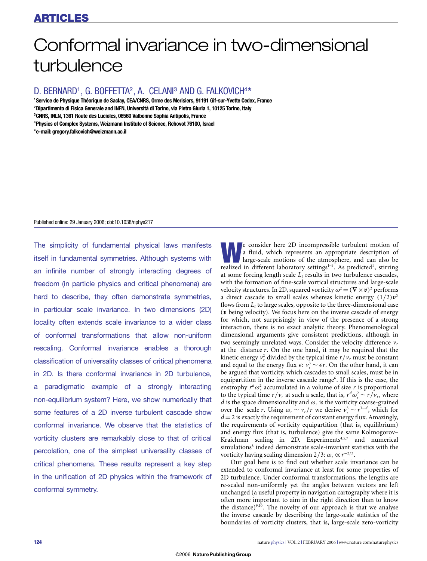# Conformal invariance in two-dimensional turbulence

### D. BERNARD1, G. BOFFETTA2, A. CELANI<sup>3</sup> AND G. FALKOVICH4**\***

**1 Service de Physique Theorique de Saclay, CEA/CNRS, Orme des Merisiers, 91191 Gif-sur-Yvette Cedex, France ´**

**2 Dipartimento di Fisica Generale and INFN, Universita di Torino, via Pietro Giuria 1, 10125 Torino, Italy `**

**3 CNRS, INLN, 1361 Route des Lucioles, 06560 Valbonne Sophia Antipolis, France**

**4 Physics of Complex Systems, Weizmann Institute of Science, Rehovot 76100, Israel**

**\*e-mail: gregory.falkovich@weizmann.ac.il**

#### Published online: 29 January 2006; doi:10.1038/nphys217

The simplicity of fundamental physical laws manifests itself in fundamental symmetries. Although systems with an infinite number of strongly interacting degrees of freedom (in particle physics and critical phenomena) are hard to describe, they often demonstrate symmetries, in particular scale invariance. In two dimensions (2D) locality often extends scale invariance to a wider class of conformal transformations that allow non-uniform rescaling. Conformal invariance enables a thorough classification of universality classes of critical phenomena in 2D. Is there conformal invariance in 2D turbulence, a paradigmatic example of a strongly interacting non-equilibrium system? Here, we show numerically that some features of a 2D inverse turbulent cascade show conformal invariance. We observe that the statistics of vorticity clusters are remarkably close to that of critical percolation, one of the simplest universality classes of critical phenomena. These results represent a key step in the unification of 2D physics within the framework of conformal symmetry.

**W**e consider here 2D incompressible turbulent motion of a fluid, which represents an appropriate description of large-scale motions of the atmosphere, and can also be realized in different laboratory settings<sup>1-5</sup>. As predicted<sup>1</sup>, stirring at some forcing length scale  $L_f$  results in two turbulence cascades, with the formation of fine-scale vortical structures and large-scale velocity structures. In 2D, squared vorticity  $\omega^2 = (\nabla \times v)^2$  performs a direct cascade to small scales whereas kinetic energy  $(1/2)\mathbf{v}^2$ flows from  $L_f$  to large scales, opposite to the three-dimensional case (*v* being velocity). We focus here on the inverse cascade of energy for which, not surprisingly in view of the presence of a strong interaction, there is no exact analytic theory. Phenomenological dimensional arguments give consistent predictions, although in two seemingly unrelated ways. Consider the velocity difference  $v_r$ at the distance *r*. On the one hand, it may be required that the kinetic energy  $v_r^2$  divided by the typical time  $r/v_r$  must be constant and equal to the energy flux  $\epsilon$ :  $v_r^3 \sim \epsilon r$ . On the other hand, it can be argued that vorticity, which cascades to small scales, must be in equipartition in the inverse cascade range<sup>6</sup>. If this is the case, the enstrophy  $r^d \omega_r^2$  accumulated in a volume of size *r* is proportional to the typical time  $r/v_r$  at such a scale, that is,  $r^d \omega_r^2 \sim r/v_r$ , where *d* is the space dimensionality and  $\omega_r$  is the vorticity coarse-grained over the scale *r*. Using  $\omega_r \sim v_r/r$  we derive  $v_r^3 \sim r^{3-d}$ , which for  $d = 2$  is exactly the requirement of constant energy flux. Amazingly, the requirements of vorticity equipartition (that is, equilibrium) and energy flux (that is, turbulence) give the same Kolmogorov– Kraichnan scaling in 2D. Experiments<sup>4,5,7</sup> and numerical simulations<sup>8</sup> indeed demonstrate scale-invariant statistics with the vorticity having scaling dimension 2/3:  $\omega_r \propto r^{-2/3}$ .

Our goal here is to find out whether scale invariance can be extended to conformal invariance at least for some properties of 2D turbulence. Under conformal transformations, the lengths are re-scaled non-uniformly yet the angles between vectors are left unchanged (a useful property in navigation cartography where it is often more important to aim in the right direction than to know the distance) $9,10$ . The novelty of our approach is that we analyse the inverse cascade by describing the large-scale statistics of the boundaries of vorticity clusters, that is, large-scale zero-vorticity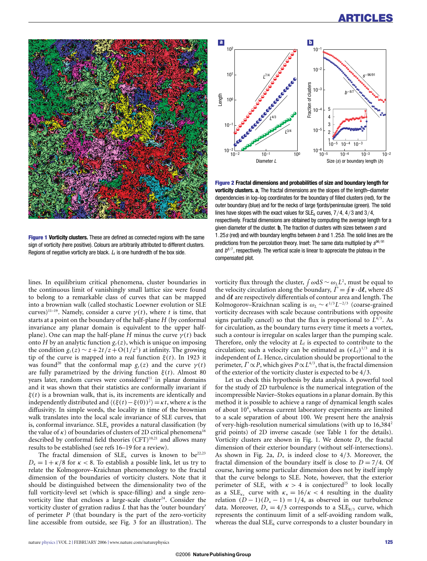## **ARTICLES**





**Figure 1 Vorticity clusters.** These are defined as connected regions with the same sign of vorticity (here positive). Colours are arbitrarily attributed to different clusters. Regions of negative vorticity are black.  $L_f$  is one hundredth of the box side.

**Figure 2 Fractal dimensions and probabilities of size and boundary length for vorticity clusters. a**, The fractal dimensions are the slopes of the length–diameter dependencies in log–log coordinates for the boundary of filled clusters (red), for the outer boundary (blue) and for the necks of large fjords/peninsulae (green). The solid lines have slopes with the exact values for  $SLE_6$  curves,  $7/4$ ,  $4/3$  and  $3/4$ , respectively. Fractal dimensions are obtained by computing the average length for a given diameter of the cluster. **b**, The fraction of clusters with sizes between s and 1.25s (red) and with boundary lengths between b and 1.25b. The solid lines are the predictions from the percolation theory. Inset: The same data multiplied by  $s^{96/91}$ and  $b^{8/7}$ , respectively. The vertical scale is linear to appreciate the plateau in the compensated plot.

lines. In equilibrium critical phenomena, cluster boundaries in the continuous limit of vanishingly small lattice size were found to belong to a remarkable class of curves that can be mapped into a brownian walk (called stochastic Loewner evolution or SLE curves)<sup>11–19</sup>. Namely, consider a curve  $\gamma(t)$ , where t is time, that starts at a point on the boundary of the half-plane *H* (by conformal invariance any planar domain is equivalent to the upper halfplane). One can map the half-plane *H* minus the curve  $\gamma(t)$  back onto *H* by an analytic function  $g_t(z)$ , which is unique on imposing the condition  $g_t(z) \sim z + 2t/z + O(1/z^2)$  at infinity. The growing tip of the curve is mapped into a real function  $\xi(t)$ . In 1923 it was found<sup>20</sup> that the conformal map  $g_t(z)$  and the curve  $\gamma(t)$ are fully parametrized by the driving function  $\xi(t)$ . Almost 80 years later, random curves were considered<sup>11</sup> in planar domains and it was shown that their statistics are conformally invariant if  $\xi(t)$  is a brownian walk, that is, its increments are identically and independently distributed and  $\langle (\xi(t) - \xi(0))^2 \rangle = \kappa t$ , where  $\kappa$  is the diffusivity. In simple words, the locality in time of the brownian walk translates into the local scale invariance of SLE curves, that is, conformal invariance.  $SLE_{\kappa}$  provides a natural classification (by the value of  $\kappa$ ) of boundaries of clusters of 2D critical phenomena<sup>16</sup> described by conformal field theories  $(CFT)^{10,21}$  and allows many results to be established (see refs 16–19 for a review).

The fractal dimension of  $SLE_{\kappa}$  curves is known to be<sup>22,23</sup>  $D_k = 1 + \kappa/8$  for  $\kappa < 8$ . To establish a possible link, let us try to relate the Kolmogorov–Kraichnan phenomenology to the fractal dimension of the boundaries of vorticity clusters. Note that it should be distinguished between the dimensionality two of the full vorticity-level set (which is space-filling) and a single zerovorticity line that encloses a large-scale cluster<sup>24</sup>. Consider the vorticity cluster of gyration radius *L* that has the 'outer boundary' of perimeter *P* (that boundary is the part of the zero-vorticity line accessible from outside, see Fig. 3 for an illustration). The

vorticity flux through the cluster,  $\int \omega dS \sim \omega_L L^2$ , must be equal to the velocity circulation along the boundary,  $\Gamma = \oint \mathbf{v} \cdot d\mathbf{\ell}$ , where d*S* and dl are respectively differentials of contour area and length. The Kolmogorov–Kraichnan scaling is  $\omega_L \sim \epsilon^{1/3} L^{-2/3}$  (coarse-grained vorticity decreases with scale because contributions with opposite signs partially cancel) so that the flux is proportional to  $L^{4/3}$ . As for circulation, as the boundary turns every time it meets a vortex, such a contour is irregular on scales larger than the pumping scale. Therefore, only the velocity at  $L_f$  is expected to contribute to the circulation; such a velocity can be estimated as  $(\epsilon L_f)^{1/3}$  and it is independent of *L*. Hence, circulation should be proportional to the perimeter,  $\Gamma \propto P$ , which gives  $P \propto L^{4/3}$ , that is, the fractal dimension of the exterior of the vorticity cluster is expected to be 4/3.

Let us check this hypothesis by data analysis. A powerful tool for the study of 2D turbulence is the numerical integration of the incompressible Navier–Stokes equations in a planar domain. By this method it is possible to achieve a range of dynamical length scales of about 10<sup>4</sup>, whereas current laboratory experiments are limited to a scale separation of about 100. We present here the analysis of very-high-resolution numerical simulations (with up to  $16,384^2$ ) grid points) of 2D inverse cascade (see Table 1 for the details). Vorticity clusters are shown in Fig. 1. We denote *D*<sup>∗</sup> the fractal dimension of their exterior boundary (without self-intersections). As shown in Fig. 2a, *D*<sup>∗</sup> is indeed close to 4/3. Moreover, the fractal dimension of the boundary itself is close to  $D = 7/4$ . Of course, having some particular dimension does not by itself imply that the curve belongs to SLE. Note, however, that the exterior perimeter of  $SLE_{\kappa}$  with  $\kappa > 4$  is conjectured<sup>25</sup> to look locally as a SLE<sub> $k_{k*}$ </sub> curve with  $\kappa_* = 16/\kappa < 4$  resulting in the duality relation  $(D-1)(D_2-1) = 1/4$ , as observed in our turbulence data. Moreover,  $D_* = 4/3$  corresponds to a SLE<sub>8/3</sub> curve, which represents the continuum limit of a self-avoiding random walk, whereas the dual  $SLE<sub>6</sub>$  curve corresponds to a cluster boundary in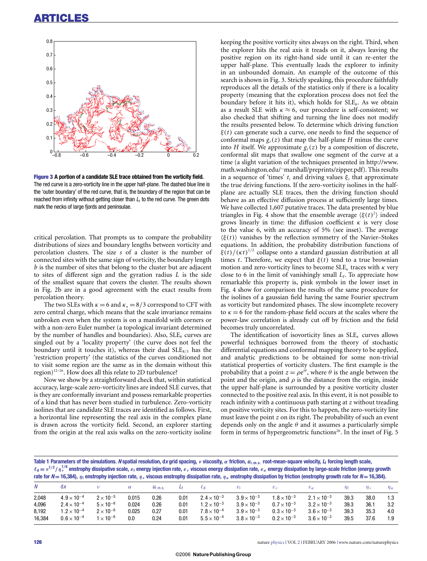

**Figure 3 A portion of a candidate SLE trace obtained from the vorticity field.** The red curve is a zero-vorticity line in the upper half-plane. The dashed blue line is the 'outer boundary' of the red curve, that is, the boundary of the region that can be reached from infinity without getting closer than  $L_f$  to the red curve. The green dots mark the necks of large fjords and peninsulae.

critical percolation. That prompts us to compare the probability distributions of sizes and boundary lengths between vorticity and percolation clusters. The size *s* of a cluster is the number of connected sites with the same sign of vorticity, the boundary length *b* is the number of sites that belong to the cluster but are adjacent to sites of different sign and the gyration radius *L* is the side of the smallest square that covers the cluster. The results shown in Fig. 2b are in a good agreement with the exact results from percolation theory.

The two SLEs with  $\kappa = 6$  and  $\kappa = 8/3$  correspond to CFT with zero central charge, which means that the scale invariance remains unbroken even when the system is on a manifold with corners or with a non-zero Euler number (a topological invariant determined by the number of handles and boundaries). Also,  $SLE<sub>6</sub>$  curves are singled out by a 'locality property' (the curve does not feel the boundary until it touches it), whereas their dual  $SLE_{8/3}$  has the 'restriction property' (the statistics of the curves conditioned not to visit some region are the same as in the domain without this region)<sup>12–16</sup>. How does all this relate to 2D turbulence?

Now we show by a straightforward check that, within statistical accuracy, large-scale zero-vorticity lines are indeed SLE curves, that is they are conformally invariant and possess remarkable properties of a kind that has never been studied in turbulence. Zero-vorticity isolines that are candidate SLE traces are identified as follows. First, a horizontal line representing the real axis in the complex plane is drawn across the vorticity field. Second, an explorer starting from the origin at the real axis walks on the zero-vorticity isoline keeping the positive vorticity sites always on the right. Third, when the explorer hits the real axis it treads on it, always leaving the positive region on its right-hand side until it can re-enter the upper half-plane. This eventually leads the explorer to infinity in an unbounded domain. An example of the outcome of this search is shown in Fig. 3. Strictly speaking, this procedure faithfully reproduces all the details of the statistics only if there is a locality property (meaning that the exploration process does not feel the boundary before it hits it), which holds for  $SLE<sub>6</sub>$ . As we obtain as a result SLE with  $\kappa \approx 6$ , our procedure is self-consistent; we also checked that shifting and turning the line does not modify the results presented below. To determine which driving function ξ(*t*) can generate such a curve, one needs to find the sequence of conformal maps  $g_t(z)$  that map the half-plane *H* minus the curve into *H* itself. We approximate  $g_t(z)$  by a composition of discrete, conformal slit maps that swallow one segment of the curve at a time (a slight variation of the techniques presented in http://www. math.washington.edu/∼marshall/preprints/zipper.pdf). This results in a sequence of 'times'  $t_i$  and driving values  $\xi_i$  that approximate the true driving functions. If the zero-vorticity isolines in the halfplane are actually SLE traces, then the driving function should behave as an effective diffusion process at sufficiently large times. We have collected 1,607 putative traces. The data presented by blue triangles in Fig. 4 show that the ensemble average  $\langle \xi(t)^2 \rangle$  indeed grows linearly in time: the diffusion coefficient  $\kappa$  is very close to the value 6, with an accuracy of 5% (see inset). The average  $\langle \xi(t) \rangle$  vanishes by the reflection symmetry of the Navier–Stokes equations. In addition, the probability distribution functions of  $\xi(t)/(kt)^{1/2}$  collapse onto a standard gaussian distribution at all times *t*. Therefore, we expect that  $\xi(t)$  tend to a true brownian motion and zero-vorticity lines to become  $SLE_{\kappa}$  traces with  $\kappa$  very close to 6 in the limit of vanishingly small *L*f. To appreciate how remarkable this property is, pink symbols in the lower inset in Fig. 4 show for comparison the results of the same procedure for the isolines of a gaussian field having the same Fourier spectrum as vorticity but randomized phases. The slow incomplete recovery to  $\kappa = 6$  for the random-phase field occurs at the scales where the power-law correlation is already cut off by friction and the field becomes truly uncorrelated.

The identification of isovorticity lines as  $SLE_{\kappa}$  curves allows powerful techniques borrowed from the theory of stochastic differential equations and conformal mapping theory to be applied, and analytic predictions to be obtained for some non-trivial statistical properties of vorticity clusters. The first example is the probability that a point  $z = \rho e^{i\theta}$ , where  $\theta$  is the angle between the point and the origin, and  $\rho$  is the distance from the origin, inside the upper half-plane is surrounded by a positive vorticity cluster connected to the positive real axis. In this event, it is not possible to reach infinity with a continuous path starting at *z* without treading on positive vorticity sites. For this to happen, the zero-vorticity line must leave the point *z* on its right. The probability of such an event depends only on the angle  $\theta$  and it assumes a particularly simple form in terms of hypergeometric functions<sup>26</sup>. In the inset of Fig. 5

Table 1 Parameters of the simulations. N spatial resolution, dx grid spacing, v viscosity,  $\alpha$  friction,  $u_{r,m,s}$ , root-mean-square velocity,  $L_f$  forcing length scale,  $\ell_{\rm d} = v^{1/2}/n_v^{1/6}$  enstrophy dissipative scale,  $\varepsilon_1$  energy injection rate,  $\varepsilon_v$  viscous energy dissipation rate,  $\varepsilon_\alpha$  energy dissipation by large-scale friction (energy growth rate for  $N = 16.384$ ),  $n_1$  enstrophy injection rate,  $n_n$  viscous enstrophy dissipation rate,  $n_n$  enstrophy dissipation by friction (enstrophy growth rate for  $N = 16.384$ ).

| $\frac{1}{2}$ and $\frac{1}{2}$ and $\frac{1}{2}$ and $\frac{1}{2}$ and $\frac{1}{2}$ and $\frac{1}{2}$ and $\frac{1}{2}$ and $\frac{1}{2}$ and $\frac{1}{2}$ and $\frac{1}{2}$ and $\frac{1}{2}$ and $\frac{1}{2}$ and $\frac{1}{2}$ and $\frac{1}{2}$ and $\frac{1}{2}$ and $\frac{1}{2}$ a |                                                                                              |                                                                                             |                                |                              |                              |                                                                                              |                                                                                      |                                                                                              |                                                                                              |                              |                              |                          |
|-----------------------------------------------------------------------------------------------------------------------------------------------------------------------------------------------------------------------------------------------------------------------------------------------|----------------------------------------------------------------------------------------------|---------------------------------------------------------------------------------------------|--------------------------------|------------------------------|------------------------------|----------------------------------------------------------------------------------------------|--------------------------------------------------------------------------------------|----------------------------------------------------------------------------------------------|----------------------------------------------------------------------------------------------|------------------------------|------------------------------|--------------------------|
|                                                                                                                                                                                                                                                                                               | dx                                                                                           |                                                                                             | $\alpha$                       | $U_{r.m.s.}$                 |                              |                                                                                              |                                                                                      | $\varepsilon_{\rm u}$                                                                        | $c_{\alpha}$                                                                                 | $\eta_1$                     | $H_{\mathcal{D}}$            | $n_{\alpha}$             |
| 2,048<br>4.096<br>8.192<br>16.384                                                                                                                                                                                                                                                             | $4.9 \times 10^{-4}$<br>$2.4 \times 10^{-4}$<br>$1.2 \times 10^{-4}$<br>$0.6 \times 10^{-4}$ | $2 \times 10^{-5}$<br>$5 \times 10^{-6}$<br>$2 \times 10^{-6}$<br>$\times$ 10 <sup>-6</sup> | 0.015<br>0.024<br>0.025<br>0.0 | 0.26<br>0.26<br>0.27<br>0.24 | 0.01<br>0.01<br>0.01<br>0.01 | $2.4 \times 10^{-3}$<br>$1.2 \times 10^{-3}$<br>$7.8 \times 10^{-4}$<br>$5.5 \times 10^{-4}$ | $3.9\times10^{-3}$<br>$3.9\times10^{-3}$<br>$3.9\times10^{-3}$<br>$3.8\times10^{-3}$ | $1.8 \times 10^{-3}$<br>$0.7 \times 10^{-3}$<br>$0.3 \times 10^{-3}$<br>$0.2 \times 10^{-3}$ | $2.1 \times 10^{-3}$<br>$3.2 \times 10^{-3}$<br>$3.6 \times 10^{-3}$<br>$3.6 \times 10^{-3}$ | 39.3<br>39.3<br>39.3<br>39.5 | 38.0<br>36.1<br>35.3<br>37.6 | 1.3<br>3.2<br>4.0<br>1.9 |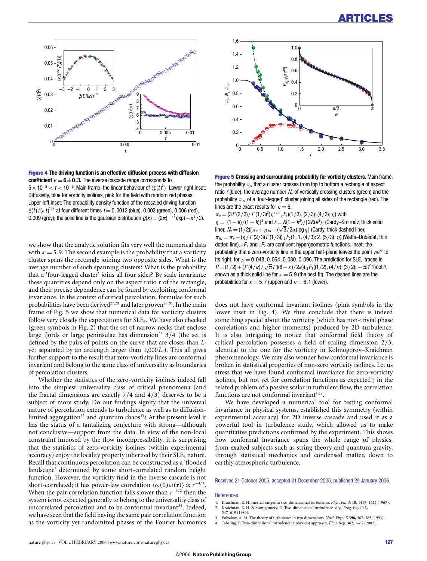

**Figure 4 The driving function is an effective diffusion process with diffusion coefficient**  $\kappa = 6 \pm 0.3$ . The inverse cascade range corresponds to  $5 \times 10^{-5} < t < 10^{-2}$ . Main frame: the linear behaviour of  $\langle \xi(t)^2 \rangle$ . Lower-right inset: Diffusivity, blue for vorticity isolines, pink for the field with randomized phases. Upper-left inset: The probability density function of the rescaled driving function  $\xi(t)/(\kappa\,t)^{1/2}$  at four different times  $t\!=\!0.0012$  (blue), 0.003 (green), 0.006 (red), 0.009 (grey); the solid line is the gaussian distribution  $g(x) = (2\pi)^{-1/2} \exp(-x^2/2)$ .

we show that the analytic solution fits very well the numerical data with  $\kappa = 5.9$ . The second example is the probability that a vorticity cluster spans the rectangle joining two opposite sides. What is the average number of such spanning clusters? What is the probability that a 'four-legged cluster' joins all four sides? By scale invariance these quantities depend only on the aspect ratio *r* of the rectangle, and their precise dependence can be found by exploiting conformal invariance. In the context of critical percolation, formulae for such probabilities have been derived<sup>27,28</sup> and later proven<sup>29,30</sup>. In the main frame of Fig. 5 we show that numerical data for vorticity clusters follow very closely the expectations for  $SLE<sub>6</sub>$ . We have also checked (green symbols in Fig. 2) that the set of narrow necks that enclose large fjords or large peninsulae has dimension<sup>31</sup>  $3/4$  (the set is defined by the pairs of points on the curve that are closer than  $L_f$ yet separated by an arclength larger than  $1,000L_f$ ). This all gives further support to the result that zero-vorticity lines are conformal invariant and belong to the same class of universality as boundaries of percolation clusters.

Whether the statistics of the zero-vorticity isolines indeed fall into the simplest universality class of critical phenomena (and the fractal dimensions are exactly  $7/4$  and  $4/3$ ) deserves to be a subject of more study. Do our findings signify that the universal nature of percolation extends to turbulence as well as to diffusionlimited aggregation<sup>32</sup> and quantum chaos<sup>33</sup>? At the present level it has the status of a tantalizing conjecture with strong—although not conclusive—support from the data. In view of the non-local constraint imposed by the flow incompressibility, it is surprising that the statistics of zero-vorticity isolines (within experimental accuracy) enjoy the locality property inherited by their  $SLE_6$  nature. Recall that continuous percolation can be constructed as a 'flooded landscape' determined by some short-correlated random height function. However, the vorticity field in the inverse cascade is not short-correlated; it has power-law correlation  $\langle \omega(0) \omega(\mathbf{r}) \rangle \propto r^{-4/3}$ . When the pair correlation function falls slower than *r*−3/<sup>2</sup> then the system is not expected generally to belong to the universality class of uncorrelated percolation and to be conformal invariant<sup>34</sup>. Indeed, we have seen that the field having the same pair correlation function as the vorticity yet randomized phases of the Fourier harmonics



**Figure 5 Crossing and surrounding probability for vorticity clusters.** Main frame: the probability  $\pi_{\nu}$  that a cluster crosses from top to bottom a rectangle of aspect ratio  $r$  (blue), the average number  $N_v$  of vertically crossing clusters (green) and the probability  $\pi_{\text{hv}}$  of a 'four-legged' cluster joining all sides of the rectangle (red). The lines are the exact results for  $\kappa = 6$ :

 $\pi_{v} = (3\Gamma(2/3)/\Gamma(1/3)^{2})\eta^{1/3} {}_{2}F_{1}((1/3),(2/3);(4/3);\eta)$  with  $\eta = [(1 - k)/(1 + k)]^2$  and  $r = \frac{K(1 - k^2)}{k^2}$  (Cardy–Smirnov, thick solid line);  $N_v = (1/2)[\pi_v + \pi_{hv} - (\sqrt{3}/2\pi)\log \eta]$  (Cardy, thick dashed line);  $\pi_{\text{hw}} = \pi_{\text{v}} - (\eta / \Gamma(2/3)\Gamma(1/3))_{3} F_{2}(1, 1, (4/3); 2, (5/3); \eta)$  (Watts–Dubédat, thin dotted line).  ${}_2F_1$  and  ${}_3F_2$  are confluent hypergeometric functions. Inset: the probability that a zero-vorticity line in the upper half-plane leaves the point  $\rho e^{i\theta}$  to its right, for  $\rho = 0.048, 0.064, 0.080, 0.096$ . The prediction for SLE<sub>k</sub> traces is  $P = (1/2) + (Γ(4/κ)/√πΓ((8-κ)/2κ))$   ${}_{2}F_1((1/2), (4/κ);(3/2); -cot<sup>2</sup>θ) cot θ,$ shown as a thick solid line for  $\kappa = 5.9$  (the best fit). The dashed lines are the probabilities for  $\kappa = 5.7$  (upper) and  $\kappa = 6.1$  (lower).

does not have conformal invariant isolines (pink symbols in the lower inset in Fig. 4). We thus conclude that there is indeed something special about the vorticity (which has non-trivial phase correlations and higher moments) produced by 2D turbulence. It is also intriguing to notice that conformal field theory of critical percolation possesses a field of scaling dimension 2/3, identical to the one for the vorticity in Kolmogorov–Kraichnan phenomenology. We may also wonder how conformal invariance is broken in statistical properties of non-zero vorticity isolines. Let us stress that we have found conformal invariance for zero-vorticity isolines, but not yet for correlation functions as expected<sup>3</sup>; in the related problem of a passive scalar in turbulent flow, the correlation functions are not conformal invariant<sup>6,35</sup>.

We have developed a numerical tool for testing conformal invariance in physical systems, established this symmetry (within experimental accuracy) for 2D inverse cascade and used it as a powerful tool in turbulence study, which allowed us to make quantitative predictions confirmed by the experiment. This shows how conformal invariance spans the whole range of physics, from exalted subjects such as string theory and quantum gravity, through statistical mechanics and condensed matter, down to earthly atmospheric turbulence.

#### Received 21 October 2005; accepted 21 December 2005; published 29 January 2006.

#### **References**

- 1. Kraichnan, R. H. Inertial ranges in two-dimensional turbulence. *Phys. Fluids* **10,** 1417–1423 (1967).
- 2. Kraichnan, R. H. & Montgomery, D. Two-dimensional turbulence. *Rep. Prog. Phys.* **43,** 547–619 (1980).
- 3. Polyakov, A. M. The theory of turbulence in two dimensions. *Nucl. Phys. B* **396,** 367–385 (1993).
- 4. Tabeling, P. Two-dimensional turbulence: a physicist approach. *Phys. Rep.* **362,** 1–62 (2002).